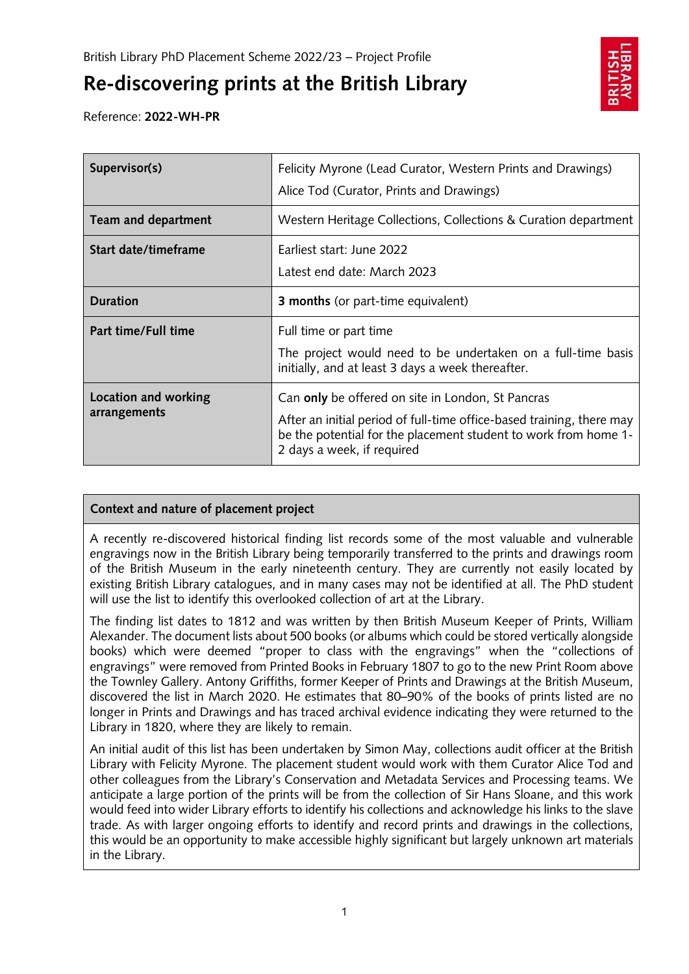# **Re-discovering prints at the British Library**



Reference: **2022-WH-PR**

| Supervisor(s)        | Felicity Myrone (Lead Curator, Western Prints and Drawings)                                                                                                            |
|----------------------|------------------------------------------------------------------------------------------------------------------------------------------------------------------------|
|                      | Alice Tod (Curator, Prints and Drawings)                                                                                                                               |
| Team and department  | Western Heritage Collections, Collections & Curation department                                                                                                        |
| Start date/timeframe | Earliest start: June 2022                                                                                                                                              |
|                      | Latest end date: March 2023                                                                                                                                            |
| <b>Duration</b>      | <b>3 months</b> (or part-time equivalent)                                                                                                                              |
| Part time/Full time  | Full time or part time<br>The project would need to be undertaken on a full-time basis                                                                                 |
|                      | initially, and at least 3 days a week thereafter.                                                                                                                      |
| Location and working | Can only be offered on site in London, St Pancras                                                                                                                      |
| arrangements         | After an initial period of full-time office-based training, there may<br>be the potential for the placement student to work from home 1-<br>2 days a week, if required |

## **Context and nature of placement project**

A recently re-discovered historical finding list records some of the most valuable and vulnerable engravings now in the British Library being temporarily transferred to the prints and drawings room of the British Museum in the early nineteenth century. They are currently not easily located by existing British Library catalogues, and in many cases may not be identified at all. The PhD student will use the list to identify this overlooked collection of art at the Library.

The finding list dates to 1812 and was written by then British Museum Keeper of Prints, William Alexander. The document lists about 500 books (or albums which could be stored vertically alongside books) which were deemed "proper to class with the engravings" when the "collections of engravings" were removed from Printed Books in February 1807 to go to the new Print Room above the Townley Gallery. Antony Griffiths, former Keeper of Prints and Drawings at the British Museum, discovered the list in March 2020. He estimates that 80–90% of the books of prints listed are no longer in Prints and Drawings and has traced archival evidence indicating they were returned to the Library in 1820, where they are likely to remain.

An initial audit of this list has been undertaken by Simon May, collections audit officer at the British Library with Felicity Myrone. The placement student would work with them Curator Alice Tod and other colleagues from the Library's Conservation and Metadata Services and Processing teams. We anticipate a large portion of the prints will be from the collection of Sir Hans Sloane, and this work would feed into wider Library efforts to identify his collections and acknowledge his links to the slave trade. As with larger ongoing efforts to identify and record prints and drawings in the collections, this would be an opportunity to make accessible highly significant but largely unknown art materials in the Library.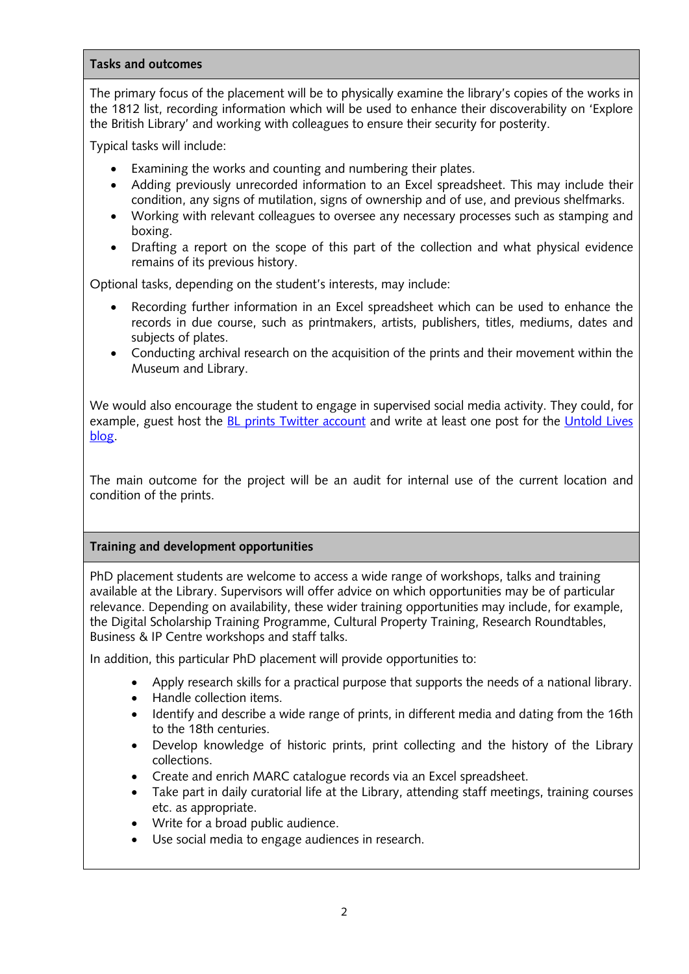#### **Tasks and outcomes**

The primary focus of the placement will be to physically examine the library's copies of the works in the 1812 list, recording information which will be used to enhance their discoverability on 'Explore the British Library' and working with colleagues to ensure their security for posterity.

Typical tasks will include:

- Examining the works and counting and numbering their plates.
- Adding previously unrecorded information to an Excel spreadsheet. This may include their condition, any signs of mutilation, signs of ownership and of use, and previous shelfmarks.
- Working with relevant colleagues to oversee any necessary processes such as stamping and boxing.
- Drafting a report on the scope of this part of the collection and what physical evidence remains of its previous history.

Optional tasks, depending on the student's interests, may include:

- Recording further information in an Excel spreadsheet which can be used to enhance the records in due course, such as printmakers, artists, publishers, titles, mediums, dates and subjects of plates.
- Conducting archival research on the acquisition of the prints and their movement within the Museum and Library.

We would also encourage the student to engage in supervised social media activity. They could, for example, guest host the [BL prints Twitter account](https://twitter.com/bl_prints) and write at least one post for the [Untold Lives](https://blogs.bl.uk/untoldlives/) [blog.](https://blogs.bl.uk/untoldlives/)

The main outcome for the project will be an audit for internal use of the current location and condition of the prints.

## **Training and development opportunities**

PhD placement students are welcome to access a wide range of workshops, talks and training available at the Library. Supervisors will offer advice on which opportunities may be of particular relevance. Depending on availability, these wider training opportunities may include, for example, the Digital Scholarship Training Programme, Cultural Property Training, Research Roundtables, Business & IP Centre workshops and staff talks.

In addition, this particular PhD placement will provide opportunities to:

- Apply research skills for a practical purpose that supports the needs of a national library.
- Handle collection items.
- Identify and describe a wide range of prints, in different media and dating from the 16th to the 18th centuries.
- Develop knowledge of historic prints, print collecting and the history of the Library collections.
- Create and enrich MARC catalogue records via an Excel spreadsheet.
- Take part in daily curatorial life at the Library, attending staff meetings, training courses etc. as appropriate.
- Write for a broad public audience.
- Use social media to engage audiences in research.